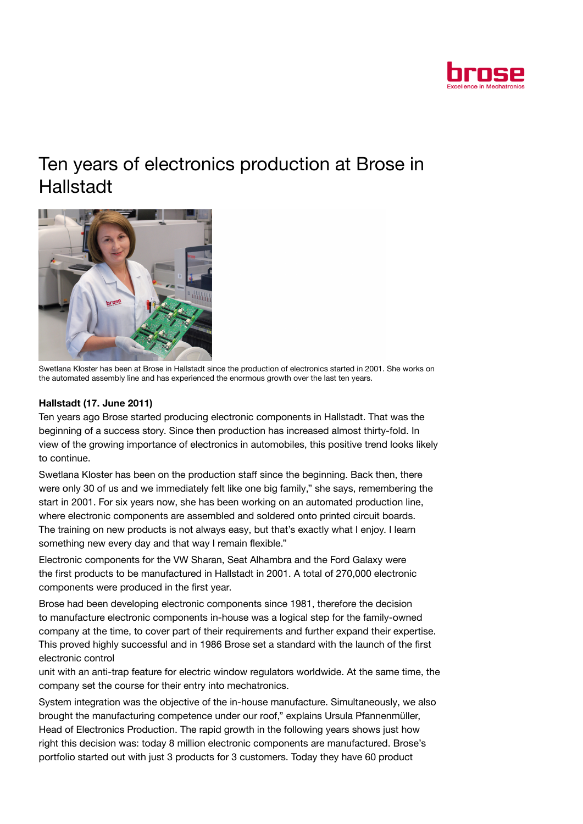

## Ten years of electronics production at Brose in Hallstadt



Swetlana Kloster has been at Brose in Hallstadt since the production of electronics started in 2001. She works on the automated assembly line and has experienced the enormous growth over the last ten years.

## Hallstadt (17. June 2011)

Ten years ago Brose started producing electronic components in Hallstadt. That was the beginning of a success story. Since then production has increased almost thirty-fold. In view of the growing importance of electronics in automobiles, this positive trend looks likely to continue.

Swetlana Kloster has been on the production staff since the beginning. Back then, there were only 30 of us and we immediately felt like one big family," she says, remembering the start in 2001. For six years now, she has been working on an automated production line, where electronic components are assembled and soldered onto printed circuit boards. The training on new products is not always easy, but that's exactly what I enjoy. I learn something new every day and that way I remain flexible."

Electronic components for the VW Sharan, Seat Alhambra and the Ford Galaxy were the first products to be manufactured in Hallstadt in 2001. A total of 270,000 electronic components were produced in the first year.

Brose had been developing electronic components since 1981, therefore the decision to manufacture electronic components in-house was a logical step for the family-owned company at the time, to cover part of their requirements and further expand their expertise. This proved highly successful and in 1986 Brose set a standard with the launch of the first electronic control

unit with an anti-trap feature for electric window regulators worldwide. At the same time, the company set the course for their entry into mechatronics.

System integration was the objective of the in-house manufacture. Simultaneously, we also brought the manufacturing competence under our roof," explains Ursula Pfannenmüller, Head of Electronics Production. The rapid growth in the following years shows just how right this decision was: today 8 million electronic components are manufactured. Brose's portfolio started out with just 3 products for 3 customers. Today they have 60 product